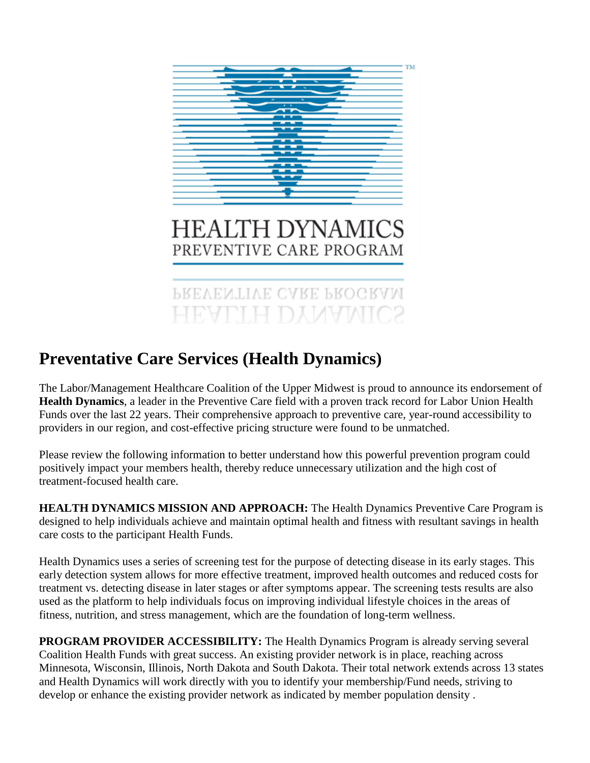

# **HEALTH DYNAMICS** PREVENTIVE CARE PROGRAM

PREVENTIVE CARE PROGRAM **HEALTH DYNAMICS** 

## **Preventative Care Services (Health Dynamics)**

The Labor/Management Healthcare Coalition of the Upper Midwest is proud to announce its endorsement of **Health Dynamics**, a leader in the Preventive Care field with a proven track record for Labor Union Health Funds over the last 22 years. Their comprehensive approach to preventive care, year-round accessibility to providers in our region, and cost-effective pricing structure were found to be unmatched.

Please review the following information to better understand how this powerful prevention program could positively impact your members health, thereby reduce unnecessary utilization and the high cost of treatment-focused health care.

**HEALTH DYNAMICS MISSION AND APPROACH:** The Health Dynamics Preventive Care Program is designed to help individuals achieve and maintain optimal health and fitness with resultant savings in health care costs to the participant Health Funds.

Health Dynamics uses a series of screening test for the purpose of detecting disease in its early stages. This early detection system allows for more effective treatment, improved health outcomes and reduced costs for treatment vs. detecting disease in later stages or after symptoms appear. The screening tests results are also used as the platform to help individuals focus on improving individual lifestyle choices in the areas of fitness, nutrition, and stress management, which are the foundation of long-term wellness.

**PROGRAM PROVIDER ACCESSIBILITY:** The Health Dynamics Program is already serving several Coalition Health Funds with great success. An existing provider network is in place, reaching across Minnesota, Wisconsin, Illinois, North Dakota and South Dakota. Their total network extends across 13 states and Health Dynamics will work directly with you to identify your membership/Fund needs, striving to develop or enhance the existing provider network as indicated by member population density .